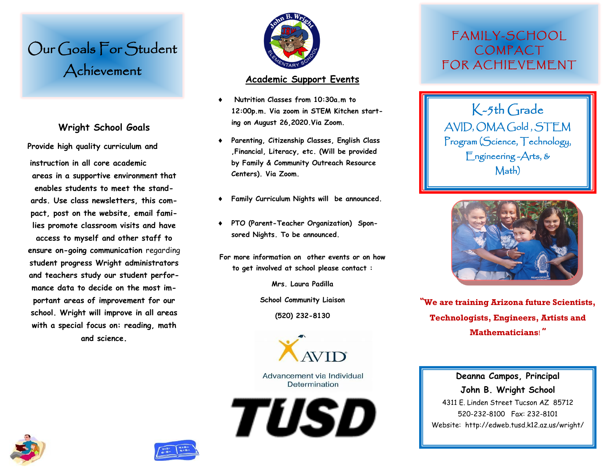# Our Goals For Student Achievement

### **Wright School Goals**

**Provide high quality curriculum and instruction in all core academic areas in a supportive environment that enables students to meet the standards. Use class newsletters, this compact, post on the website, email families promote classroom visits and have access to myself and other staff to ensure on-going communication** regarding **student progress Wright administrators and teachers study our student performance data to decide on the most important areas of improvement for our school. Wright will improve in all areas with a special focus on: reading, math and science.**



#### **Academic Support Events**

- **Nutrition Classes from 10:30a.m to 12:00p.m. Via zoom in STEM Kitchen starting on August 26,2020.Via Zoom.**
- **Parenting, Citizenship Classes, English Class ,Financial, Literacy, etc. (Will be provided by Family & Community Outreach Resource Centers). Via Zoom.**
- **Family Curriculum Nights will be announced.**
- **PTO (Parent-Teacher Organization) Sponsored Nights. To be announced.**
- **For more information on other events or on how to get involved at school please contact :**

**Mrs. Laura Padilla**

**School Community Liaison**

**(520) 232-8130**



Advancement via Individual Determination

TUSD

### FAMILY-SCHOOL COMPACT FOR ACHIF VE MENT

K-5th Grade AVID, OMA Gold , STEM Program (Science, Technology, Engineering -Arts, & Math)



**"We are training Arizona future Scientists, Technologists, Engineers, Artists and Mathematicians**! **"**

#### **Deanna Campos, Principal John B. Wright School**

4311 E. Linden Street Tucson AZ 85712 520-232-8100 Fax: 232-8101 Website: http://edweb.tusd.k12.az.us/wright/